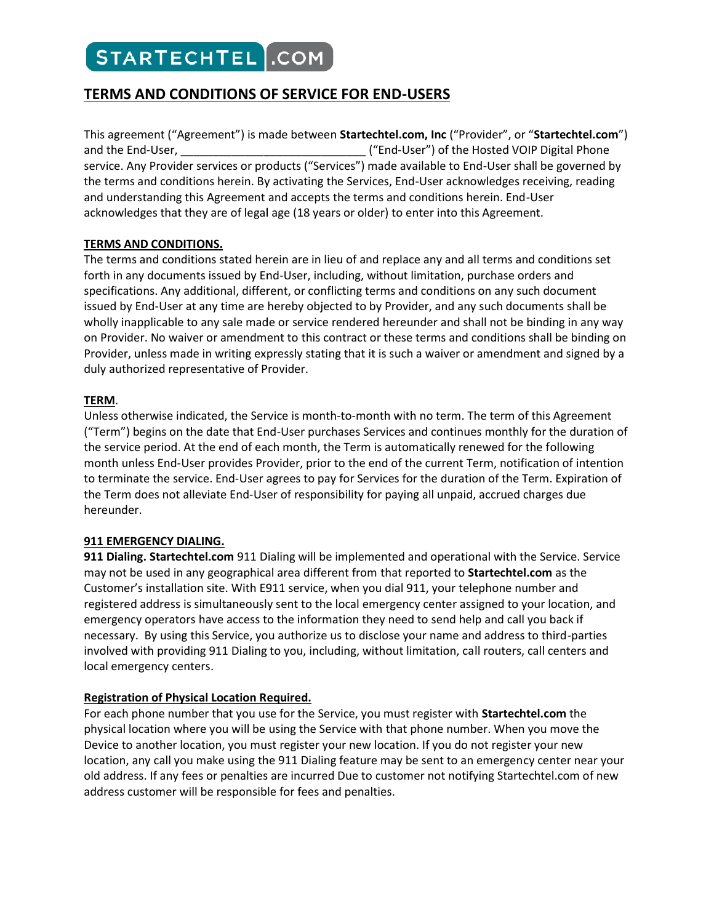# **TERMS AND CONDITIONS OF SERVICE FOR END-USERS**

This agreement ("Agreement") is made between Startechtel.com, Inc ("Provider", or " and the End-User, **we are also assigned** service. Any Provider services or products ("Services") made available to End-User shall be governed by the terms and conditions herein. By activating the Services, End-User acknowledges receiving, reading and understanding this Agreement and accepts the terms and conditions herein. End-User acknowledges that they are of legal age (18 years or older) to enter into this Agreement. \_\_\_\_\_\_\_\_\_\_\_\_\_\_\_\_\_\_\_\_\_\_\_\_\_\_\_\_\_ ("End-User") of the Hosted VOIP Digital Phone ("End-User") of the Hosted VOIP Digital lucts ("Services") made available to End-User shall be gove<br>tivating the Services, End-User acknowledges receiving, it<br>d accepts the terms and conditions herein. End-User<br>e (18 years

# TERMS AND CONDITIONS.

The terms and conditions stated herein are in lieu of and replace any and all terms and conditions set forth in any documents issued by End-User, including, without limitation, purchase orders and specifications. Any additional, different, or conflicting terms and conditions on any such document issued by End-User at any time are hereby objected to by Provider, and any such documents shall be issued by End-User at any time are hereby objected to by Provider, and any such documents shall be<br>wholly inapplicable to any sale made or service rendered hereunder and shall not be binding in any way on Provider. No waiver or amendment to this contract or these terms and conditions shall be binding on Provider, unless made in writing expressly stating that it is such a waiver or amendment and signed by a duly authorized representative of Provider. Provider. that they are of legal age (18 years or older) to enter into this Agreement.<br> **ONDITIONS.**<br>
conditions stated herein are in lieu of and replace any and all terms and conditions set<br>
cuments issued by End-User, including, w tartechtel.com, Inc ("Provider", or "Startechtel.com")<br>
<u>—</u> ("fied-User") of the Hosted VOIP Digital Phone<br>
ges") ande available to End-User shall be governed by<br>
Services, End-User acknowledges receiving, reading<br>
terms a Any additional, different, or conflicting terms and conditions on any such document<br>User at any time are hereby objected to by Provider, and any such documents shall  $k$ <br>cable to any sale made or service rendered hereunder

# TERM.

Unless otherwise indicated, the Service is month-to-month with no term. The term of this Agreement ("Term") begins on the date that End-User purchases Services and continues monthly for the duration of the service period. At the end of each month, the Term is automatically renewed for the following<br>month unless End-User provides Provider, prior to the end of the current Term, notification of intenti<br>to terminate the serv month unless End-User provides Provider, prior to the end of the current Term, notification of intention to terminate the service. End-User agrees to pay for Services for the duration of the Term. Expiration of the Term does not alleviate End-User of responsibility for paying all unpaid, accrued charges due hereunder. User provides Provider, prior to the end<br>Prvice. End-User agrees to pay for Servic<br>alleviate End-User of responsibility for

## 911 EMERGENCY DIALING.

911 Dialing. Startechtel.com 911 Dialing will be implemented and operational with the Service. Service may not be used in any geographical area different from that reported to Startechtel.com as the Customer's installation site. With E911 service, when you dial 911, your telephone number and registered address is simultaneously sent to the local emergency center assigned to your location, and emergency operators have access to the information they need to send help and call you back if<br>necessary. By using this Service, you authorize us to disclose your name and address to third-parties<br>involved with providing necessary. By using this Service, you authorize us to disclose your name and address to third-parties involved with providing 911 Dialing to you, including, without limitation, ca ll routers, call centers and local emergency centers.

# Registration of Physical Location Required.

For each phone number that you use for the Service, you must register with Startechtel.com the physical location where you will be using the Service with that phone number. When you move the Device to another location, you must register your new location. If you do not register your new Device to another location, you must register your new location. If you do not register your new<br>location, any call you make using the 911 Dialing feature may be sent to an emergency center near your old address. If any fees or penalties are incurred Due to customer not notifying Startechtel.com of new address customer will be responsible for fees and penalties.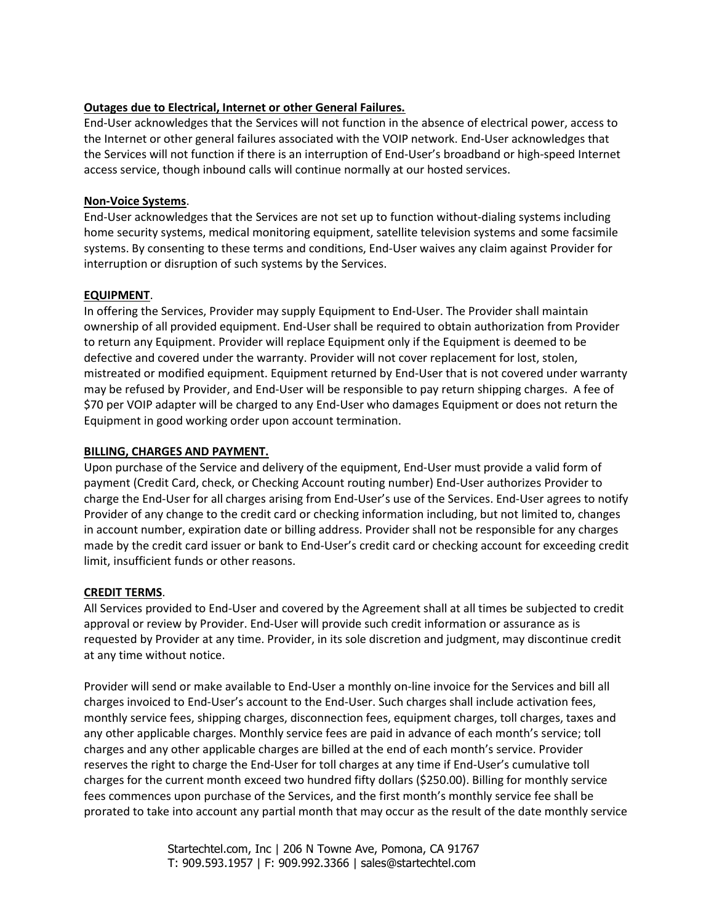## Outages due to Electrical, Internet or other General Failures.

End-User acknowledges that the Services will not function in the absence of electrical power, access to the Internet or other general failures associated with the VOIP network. End-User acknowledges that the Services will not function if there is an interruption of End-User's broadband or high-speed Internet access service, though inbound calls will continue normally at our hosted services.

# Non-Voice Systems.

End-User acknowledges that the Services are not set up to function without-dialing systems including home security systems, medical monitoring equipment, satellite television systems and some facsimile systems. By consenting to these terms and conditions, End-User waives any claim against Provider for interruption or disruption of such systems by the Services.

# EQUIPMENT.

In offering the Services, Provider may supply Equipment to End-User. The Provider shall maintain ownership of all provided equipment. End-User shall be required to obtain authorization from Provider to return any Equipment. Provider will replace Equipment only if the Equipment is deemed to be defective and covered under the warranty. Provider will not cover replacement for lost, stolen, mistreated or modified equipment. Equipment returned by End-User that is not covered under warranty may be refused by Provider, and End-User will be responsible to pay return shipping charges. A fee of \$70 per VOIP adapter will be charged to any End-User who damages Equipment or does not return the Equipment in good working order upon account termination.

# BILLING, CHARGES AND PAYMENT.

Upon purchase of the Service and delivery of the equipment, End-User must provide a valid form of payment (Credit Card, check, or Checking Account routing number) End-User authorizes Provider to charge the End-User for all charges arising from End-User's use of the Services. End-User agrees to notify Provider of any change to the credit card or checking information including, but not limited to, changes in account number, expiration date or billing address. Provider shall not be responsible for any charges made by the credit card issuer or bank to End-User's credit card or checking account for exceeding credit limit, insufficient funds or other reasons.

# CREDIT TERMS.

All Services provided to End-User and covered by the Agreement shall at all times be subjected to credit approval or review by Provider. End-User will provide such credit information or assurance as is requested by Provider at any time. Provider, in its sole discretion and judgment, may discontinue credit at any time without notice.

Provider will send or make available to End-User a monthly on-line invoice for the Services and bill all charges invoiced to End-User's account to the End-User. Such charges shall include activation fees, monthly service fees, shipping charges, disconnection fees, equipment charges, toll charges, taxes and any other applicable charges. Monthly service fees are paid in advance of each month's service; toll charges and any other applicable charges are billed at the end of each month's service. Provider reserves the right to charge the End-User for toll charges at any time if End-User's cumulative toll charges for the current month exceed two hundred fifty dollars (\$250.00). Billing for monthly service fees commences upon purchase of the Services, and the first month's monthly service fee shall be prorated to take into account any partial month that may occur as the result of the date monthly service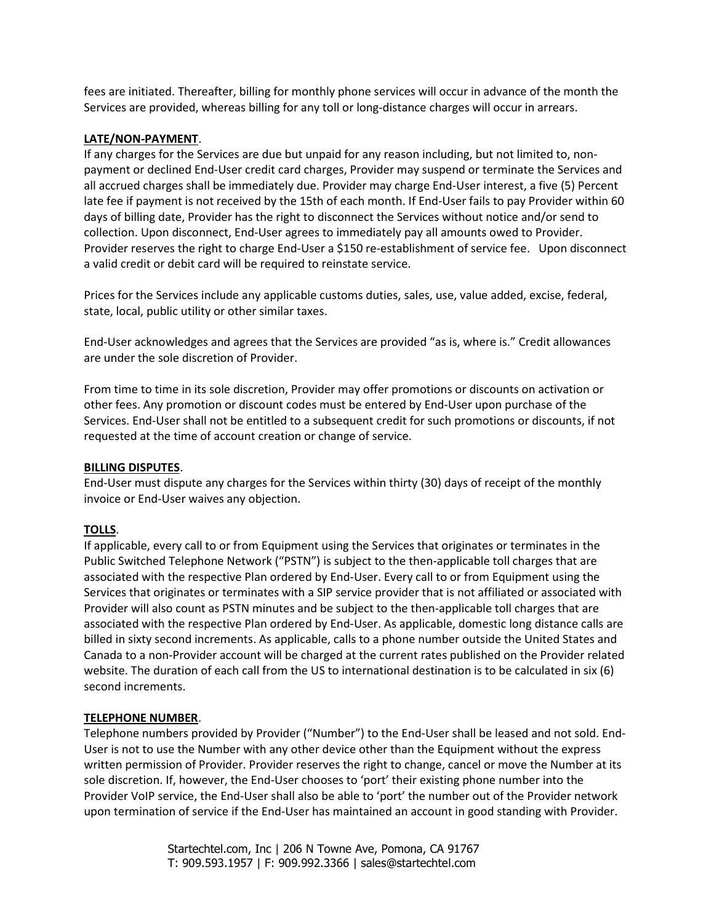fees are initiated. Thereafter, billing for monthly phone services will occur in advance of the month the Services are provided, whereas billing for any toll or long-distance charges will occur in arrears.

#### LATE/NON-PAYMENT.

If any charges for the Services are due but unpaid for any reason including, but not limited to, nonpayment or declined End-User credit card charges, Provider may suspend or terminate the Services and all accrued charges shall be immediately due. Provider may charge End-User interest, a five (5) Percent late fee if payment is not received by the 15th of each month. If End-User fails to pay Provider within 60 days of billing date, Provider has the right to disconnect the Services without notice and/or send to collection. Upon disconnect, End-User agrees to immediately pay all amounts owed to Provider. Provider reserves the right to charge End-User a \$150 re-establishment of service fee. Upon disconnect a valid credit or debit card will be required to reinstate service.

Prices for the Services include any applicable customs duties, sales, use, value added, excise, federal, state, local, public utility or other similar taxes.

End-User acknowledges and agrees that the Services are provided "as is, where is." Credit allowances are under the sole discretion of Provider.

From time to time in its sole discretion, Provider may offer promotions or discounts on activation or other fees. Any promotion or discount codes must be entered by End-User upon purchase of the Services. End-User shall not be entitled to a subsequent credit for such promotions or discounts, if not requested at the time of account creation or change of service.

#### BILLING DISPUTES.

End-User must dispute any charges for the Services within thirty (30) days of receipt of the monthly invoice or End-User waives any objection.

## TOLLS.

If applicable, every call to or from Equipment using the Services that originates or terminates in the Public Switched Telephone Network ("PSTN") is subject to the then-applicable toll charges that are associated with the respective Plan ordered by End-User. Every call to or from Equipment using the Services that originates or terminates with a SIP service provider that is not affiliated or associated with Provider will also count as PSTN minutes and be subject to the then-applicable toll charges that are associated with the respective Plan ordered by End-User. As applicable, domestic long distance calls are billed in sixty second increments. As applicable, calls to a phone number outside the United States and Canada to a non-Provider account will be charged at the current rates published on the Provider related website. The duration of each call from the US to international destination is to be calculated in six (6) second increments.

## TELEPHONE NUMBER.

Telephone numbers provided by Provider ("Number") to the End-User shall be leased and not sold. End-User is not to use the Number with any other device other than the Equipment without the express written permission of Provider. Provider reserves the right to change, cancel or move the Number at its sole discretion. If, however, the End-User chooses to 'port' their existing phone number into the Provider VoIP service, the End-User shall also be able to 'port' the number out of the Provider network upon termination of service if the End-User has maintained an account in good standing with Provider.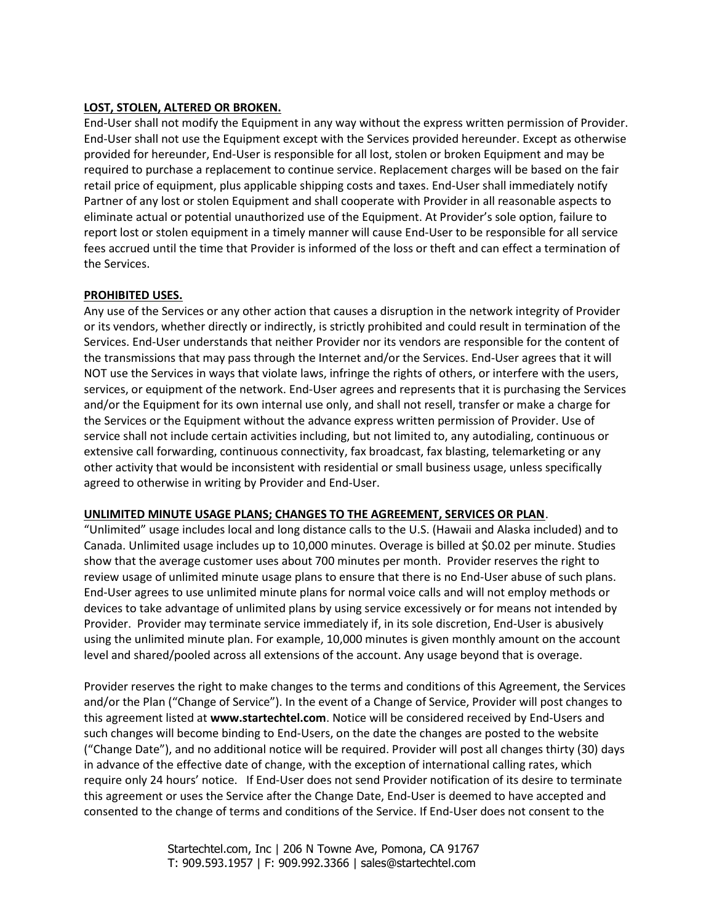#### LOST, STOLEN, ALTERED OR BROKEN.

End-User shall not modify the Equipment in any way without the express written permission of Provider. End-User shall not use the Equipment except with the Services provided hereunder. Except as otherwise provided for hereunder, End-User is responsible for all lost, stolen or broken Equipment and may be required to purchase a replacement to continue service. Replacement charges will be based on the fair retail price of equipment, plus applicable shipping costs and taxes. End-User shall immediately notify Partner of any lost or stolen Equipment and shall cooperate with Provider in all reasonable aspects to eliminate actual or potential unauthorized use of the Equipment. At Provider's sole option, failure to report lost or stolen equipment in a timely manner will cause End-User to be responsible for all service fees accrued until the time that Provider is informed of the loss or theft and can effect a termination of the Services.

#### PROHIBITED USES.

Any use of the Services or any other action that causes a disruption in the network integrity of Provider or its vendors, whether directly or indirectly, is strictly prohibited and could result in termination of the Services. End-User understands that neither Provider nor its vendors are responsible for the content of the transmissions that may pass through the Internet and/or the Services. End-User agrees that it will NOT use the Services in ways that violate laws, infringe the rights of others, or interfere with the users, services, or equipment of the network. End-User agrees and represents that it is purchasing the Services and/or the Equipment for its own internal use only, and shall not resell, transfer or make a charge for the Services or the Equipment without the advance express written permission of Provider. Use of service shall not include certain activities including, but not limited to, any autodialing, continuous or extensive call forwarding, continuous connectivity, fax broadcast, fax blasting, telemarketing or any other activity that would be inconsistent with residential or small business usage, unless specifically agreed to otherwise in writing by Provider and End-User.

#### UNLIMITED MINUTE USAGE PLANS; CHANGES TO THE AGREEMENT, SERVICES OR PLAN.

"Unlimited" usage includes local and long distance calls to the U.S. (Hawaii and Alaska included) and to Canada. Unlimited usage includes up to 10,000 minutes. Overage is billed at \$0.02 per minute. Studies show that the average customer uses about 700 minutes per month. Provider reserves the right to review usage of unlimited minute usage plans to ensure that there is no End-User abuse of such plans. End-User agrees to use unlimited minute plans for normal voice calls and will not employ methods or devices to take advantage of unlimited plans by using service excessively or for means not intended by Provider. Provider may terminate service immediately if, in its sole discretion, End-User is abusively using the unlimited minute plan. For example, 10,000 minutes is given monthly amount on the account level and shared/pooled across all extensions of the account. Any usage beyond that is overage.

Provider reserves the right to make changes to the terms and conditions of this Agreement, the Services and/or the Plan ("Change of Service"). In the event of a Change of Service, Provider will post changes to this agreement listed at www.startechtel.com. Notice will be considered received by End-Users and such changes will become binding to End-Users, on the date the changes are posted to the website ("Change Date"), and no additional notice will be required. Provider will post all changes thirty (30) days in advance of the effective date of change, with the exception of international calling rates, which require only 24 hours' notice. If End-User does not send Provider notification of its desire to terminate this agreement or uses the Service after the Change Date, End-User is deemed to have accepted and consented to the change of terms and conditions of the Service. If End-User does not consent to the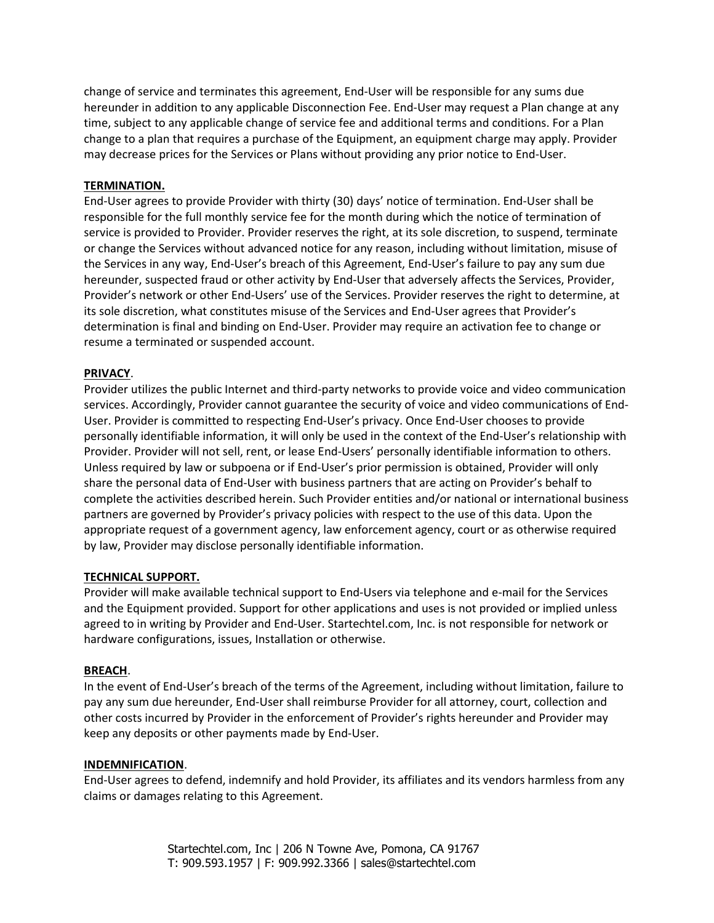change of service and terminates this agreement, End-User will be responsible for any sums due hereunder in addition to any applicable Disconnection Fee. End-User may request a Plan change at any time, subject to any applicable change of service fee and additional terms and conditions. For a Plan change to a plan that requires a purchase of the Equipment, an equipment charge may apply. Provider may decrease prices for the Services or Plans without providing any prior notice to End-User.

## TERMINATION.

End-User agrees to provide Provider with thirty (30) days' notice of termination. End-User shall be responsible for the full monthly service fee for the month during which the notice of termination of service is provided to Provider. Provider reserves the right, at its sole discretion, to suspend, terminate or change the Services without advanced notice for any reason, including without limitation, misuse of the Services in any way, End-User's breach of this Agreement, End-User's failure to pay any sum due hereunder, suspected fraud or other activity by End-User that adversely affects the Services, Provider, Provider's network or other End-Users' use of the Services. Provider reserves the right to determine, at its sole discretion, what constitutes misuse of the Services and End-User agrees that Provider's determination is final and binding on End-User. Provider may require an activation fee to change or resume a terminated or suspended account.

# PRIVACY.

Provider utilizes the public Internet and third-party networks to provide voice and video communication services. Accordingly, Provider cannot guarantee the security of voice and video communications of End-User. Provider is committed to respecting End-User's privacy. Once End-User chooses to provide personally identifiable information, it will only be used in the context of the End-User's relationship with Provider. Provider will not sell, rent, or lease End-Users' personally identifiable information to others. Unless required by law or subpoena or if End-User's prior permission is obtained, Provider will only share the personal data of End-User with business partners that are acting on Provider's behalf to complete the activities described herein. Such Provider entities and/or national or international business partners are governed by Provider's privacy policies with respect to the use of this data. Upon the appropriate request of a government agency, law enforcement agency, court or as otherwise required by law, Provider may disclose personally identifiable information.

## TECHNICAL SUPPORT.

Provider will make available technical support to End-Users via telephone and e-mail for the Services and the Equipment provided. Support for other applications and uses is not provided or implied unless agreed to in writing by Provider and End-User. Startechtel.com, Inc. is not responsible for network or hardware configurations, issues, Installation or otherwise.

## BREACH.

In the event of End-User's breach of the terms of the Agreement, including without limitation, failure to pay any sum due hereunder, End-User shall reimburse Provider for all attorney, court, collection and other costs incurred by Provider in the enforcement of Provider's rights hereunder and Provider may keep any deposits or other payments made by End-User.

## INDEMNIFICATION.

End-User agrees to defend, indemnify and hold Provider, its affiliates and its vendors harmless from any claims or damages relating to this Agreement.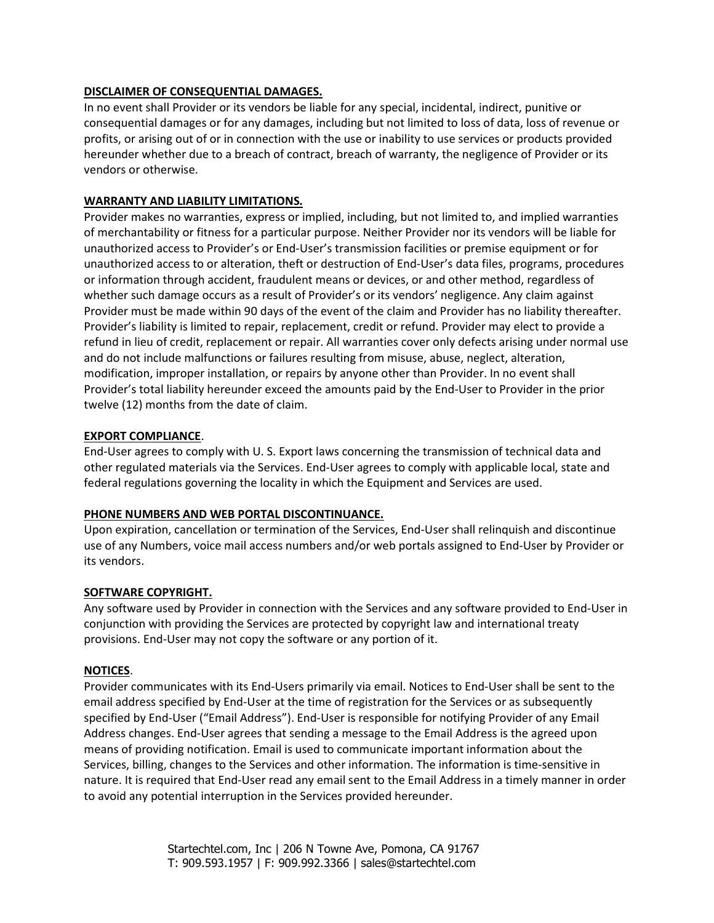#### DISCLAIMER OF CONSEQUENTIAL DAMAGES.

In no event shall Provider or its vendors be liable for any special, incidental, indirect, punitive or consequential damages or for any damages, including but not limited to loss of data, loss of revenue or profits, or arising out of or in connection with the use or inability to use services or products provided hereunder whether due to a breach of contract, breach of warranty, the negligence of Provider or its vendors or otherwise.

#### WARRANTY AND LIABILITY LIMITATIONS.

Provider makes no warranties, express or implied, including, but not limited to, and implied warranties of merchantability or fitness for a particular purpose. Neither Provider nor its vendors will be liable for unauthorized access to Provider's or End-User's transmission facilities or premise equipment or for unauthorized access to or alteration, theft or destruction of End-User's data files, programs, procedures or information through accident, fraudulent means or devices, or and other method, regardless of whether such damage occurs as a result of Provider's or its vendors' negligence. Any claim against Provider must be made within 90 days of the event of the claim and Provider has no liability thereafter. Provider's liability is limited to repair, replacement, credit or refund. Provider may elect to provide a refund in lieu of credit, replacement or repair. All warranties cover only defects arising under normal use and do not include malfunctions or failures resulting from misuse, abuse, neglect, alteration, modification, improper installation, or repairs by anyone other than Provider. In no event shall Provider's total liability hereunder exceed the amounts paid by the End-User to Provider in the prior twelve (12) months from the date of claim.

#### EXPORT COMPLIANCE.

End-User agrees to comply with U. S. Export laws concerning the transmission of technical data and other regulated materials via the Services. End-User agrees to comply with applicable local, state and federal regulations governing the locality in which the Equipment and Services are used.

#### PHONE NUMBERS AND WEB PORTAL DISCONTINUANCE.

Upon expiration, cancellation or termination of the Services, End-User shall relinquish and discontinue use of any Numbers, voice mail access numbers and/or web portals assigned to End-User by Provider or its vendors.

## SOFTWARE COPYRIGHT.

Any software used by Provider in connection with the Services and any software provided to End-User in conjunction with providing the Services are protected by copyright law and international treaty provisions. End-User may not copy the software or any portion of it.

#### NOTICES.

Provider communicates with its End-Users primarily via email. Notices to End-User shall be sent to the email address specified by End-User at the time of registration for the Services or as subsequently specified by End-User ("Email Address"). End-User is responsible for notifying Provider of any Email Address changes. End-User agrees that sending a message to the Email Address is the agreed upon means of providing notification. Email is used to communicate important information about the Services, billing, changes to the Services and other information. The information is time-sensitive in nature. It is required that End-User read any email sent to the Email Address in a timely manner in order to avoid any potential interruption in the Services provided hereunder.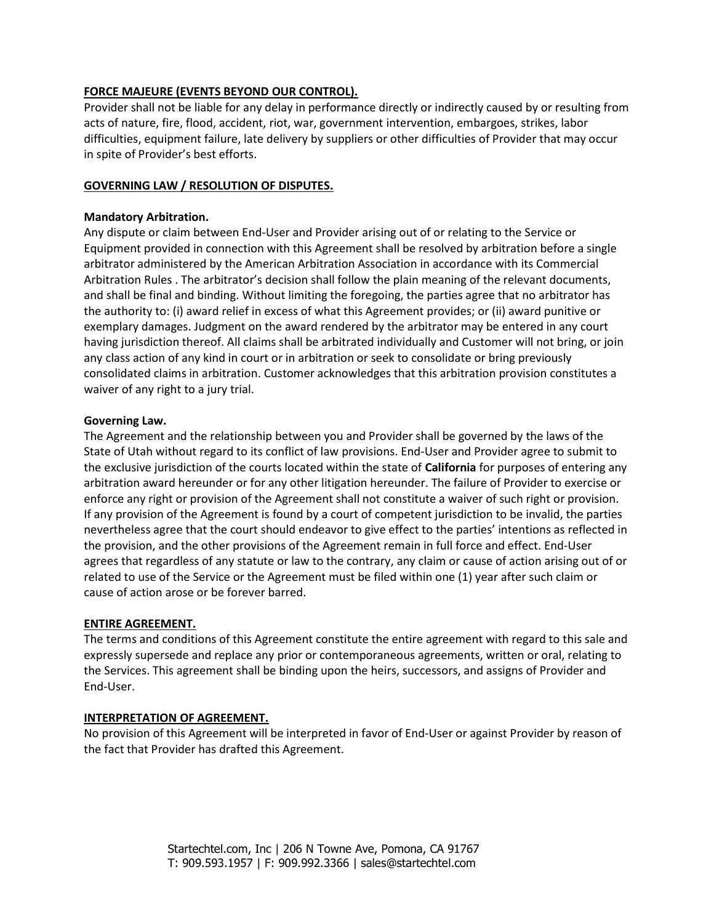# FORCE MAJEURE (EVENTS BEYOND OUR CONTROL).

Provider shall not be liable for any delay in performance directly or indirectly caused by or resulting from acts of nature, fire, flood, accident, riot, war, government intervention, embargoes, strikes, labor difficulties, equipment failure, late delivery by suppliers or other difficulties of Provider that may occur in spite of Provider's best efforts.

# GOVERNING LAW / RESOLUTION OF DISPUTES.

## Mandatory Arbitration.

Any dispute or claim between End-User and Provider arising out of or relating to the Service or Equipment provided in connection with this Agreement shall be resolved by arbitration before a single arbitrator administered by the American Arbitration Association in accordance with its Commercial Arbitration Rules . The arbitrator's decision shall follow the plain meaning of the relevant documents, and shall be final and binding. Without limiting the foregoing, the parties agree that no arbitrator has the authority to: (i) award relief in excess of what this Agreement provides; or (ii) award punitive or exemplary damages. Judgment on the award rendered by the arbitrator may be entered in any court having jurisdiction thereof. All claims shall be arbitrated individually and Customer will not bring, or join any class action of any kind in court or in arbitration or seek to consolidate or bring previously consolidated claims in arbitration. Customer acknowledges that this arbitration provision constitutes a waiver of any right to a jury trial.

# Governing Law.

The Agreement and the relationship between you and Provider shall be governed by the laws of the State of Utah without regard to its conflict of law provisions. End-User and Provider agree to submit to the exclusive jurisdiction of the courts located within the state of **California** for purposes of entering any arbitration award hereunder or for any other litigation hereunder. The failure of Provider to exercise or enforce any right or provision of the Agreement shall not constitute a waiver of such right or provision. If any provision of the Agreement is found by a court of competent jurisdiction to be invalid, the parties nevertheless agree that the court should endeavor to give effect to the parties' intentions as reflected in the provision, and the other provisions of the Agreement remain in full force and effect. End-User agrees that regardless of any statute or law to the contrary, any claim or cause of action arising out of or related to use of the Service or the Agreement must be filed within one (1) year after such claim or cause of action arose or be forever barred.

## ENTIRE AGREEMENT.

The terms and conditions of this Agreement constitute the entire agreement with regard to this sale and expressly supersede and replace any prior or contemporaneous agreements, written or oral, relating to the Services. This agreement shall be binding upon the heirs, successors, and assigns of Provider and End-User.

## INTERPRETATION OF AGREEMENT.

No provision of this Agreement will be interpreted in favor of End-User or against Provider by reason of the fact that Provider has drafted this Agreement.